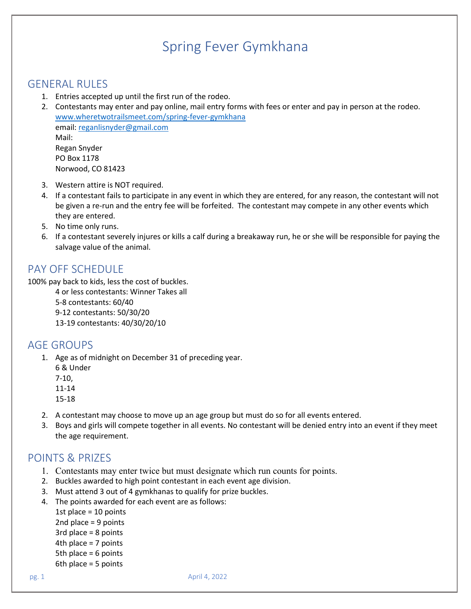# Spring Fever Gymkhana

#### GENERAL RULES

- 1. Entries accepted up until the first run of the rodeo.
- 2. Contestants may enter and pay online, mail entry forms with fees or enter and pay in person at the rodeo. [www.wheretwotrailsmeet.com/spring-fever-gymkhana](http://www.wheretwotrailsmeet.com/spring-fever-gymkhana) email: [reganlisnyder@gmail.com](mailto:reganlisnyder@gmail.com) Mail: Regan Snyder PO Box 1178 Norwood, CO 81423
- 3. Western attire is NOT required.
- 4. If a contestant fails to participate in any event in which they are entered, for any reason, the contestant will not be given a re-run and the entry fee will be forfeited. The contestant may compete in any other events which they are entered.
- 5. No time only runs.
- 6. If a contestant severely injures or kills a calf during a breakaway run, he or she will be responsible for paying the salvage value of the animal.

#### PAY OFF SCHEDULE

100% pay back to kids, less the cost of buckles.

4 or less contestants: Winner Takes all 5-8 contestants: 60/40 9-12 contestants: 50/30/20 13-19 contestants: 40/30/20/10

#### AGE GROUPS

1. Age as of midnight on December 31 of preceding year.

6 & Under 7-10, 11-14 15-18

- 2. A contestant may choose to move up an age group but must do so for all events entered.
- 3. Boys and girls will compete together in all events. No contestant will be denied entry into an event if they meet the age requirement.

#### POINTS & PRIZES

- 1. Contestants may enter twice but must designate which run counts for points.
- 2. Buckles awarded to high point contestant in each event age division.
- 3. Must attend 3 out of 4 gymkhanas to qualify for prize buckles.
- 4. The points awarded for each event are as follows:

1st place = 10 points

- 2nd place = 9 points
- 3rd place = 8 points
- 4th place = 7 points
- 5th place = 6 points
- 6th place = 5 points

pg. 1 April 4, 2022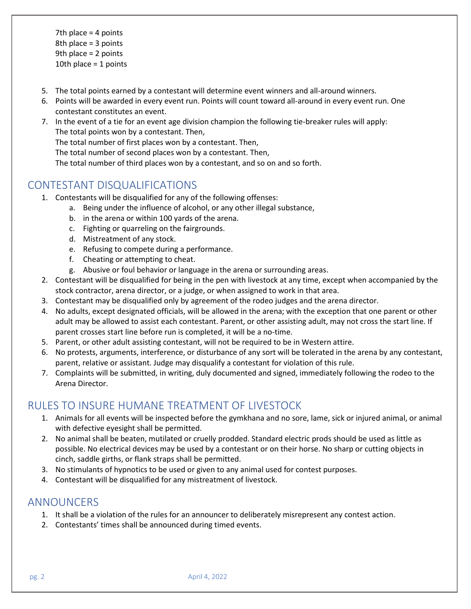7th place = 4 points 8th place = 3 points 9th place = 2 points 10th place = 1 points

- 5. The total points earned by a contestant will determine event winners and all-around winners.
- 6. Points will be awarded in every event run. Points will count toward all-around in every event run. One contestant constitutes an event.
- 7. In the event of a tie for an event age division champion the following tie-breaker rules will apply: The total points won by a contestant. Then,

The total number of first places won by a contestant. Then,

The total number of second places won by a contestant. Then,

The total number of third places won by a contestant, and so on and so forth.

## CONTESTANT DISQUALIFICATIONS

- 1. Contestants will be disqualified for any of the following offenses:
	- a. Being under the influence of alcohol, or any other illegal substance,
	- b. in the arena or within 100 yards of the arena.
	- c. Fighting or quarreling on the fairgrounds.
	- d. Mistreatment of any stock.
	- e. Refusing to compete during a performance.
	- f. Cheating or attempting to cheat.
	- g. Abusive or foul behavior or language in the arena or surrounding areas.
- 2. Contestant will be disqualified for being in the pen with livestock at any time, except when accompanied by the stock contractor, arena director, or a judge, or when assigned to work in that area.
- 3. Contestant may be disqualified only by agreement of the rodeo judges and the arena director.
- 4. No adults, except designated officials, will be allowed in the arena; with the exception that one parent or other adult may be allowed to assist each contestant. Parent, or other assisting adult, may not cross the start line. If parent crosses start line before run is completed, it will be a no-time.
- 5. Parent, or other adult assisting contestant, will not be required to be in Western attire.
- 6. No protests, arguments, interference, or disturbance of any sort will be tolerated in the arena by any contestant, parent, relative or assistant. Judge may disqualify a contestant for violation of this rule.
- 7. Complaints will be submitted, in writing, duly documented and signed, immediately following the rodeo to the Arena Director.

#### RULES TO INSURE HUMANE TREATMENT OF LIVESTOCK

- 1. Animals for all events will be inspected before the gymkhana and no sore, lame, sick or injured animal, or animal with defective eyesight shall be permitted.
- 2. No animal shall be beaten, mutilated or cruelly prodded. Standard electric prods should be used as little as possible. No electrical devices may be used by a contestant or on their horse. No sharp or cutting objects in cinch, saddle girths, or flank straps shall be permitted.
- 3. No stimulants of hypnotics to be used or given to any animal used for contest purposes.
- 4. Contestant will be disqualified for any mistreatment of livestock.

#### ANNOUNCERS

- 1. It shall be a violation of the rules for an announcer to deliberately misrepresent any contest action.
- 2. Contestants' times shall be announced during timed events.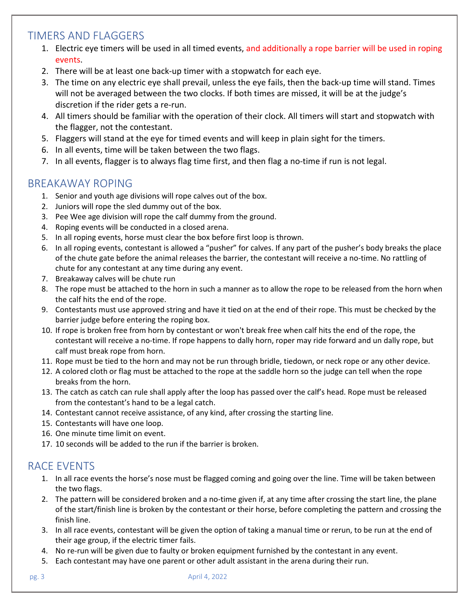## TIMERS AND FLAGGERS

- 1. Electric eye timers will be used in all timed events, and additionally a rope barrier will be used in roping events.
- 2. There will be at least one back-up timer with a stopwatch for each eye.
- 3. The time on any electric eye shall prevail, unless the eye fails, then the back-up time will stand. Times will not be averaged between the two clocks. If both times are missed, it will be at the judge's discretion if the rider gets a re-run.
- 4. All timers should be familiar with the operation of their clock. All timers will start and stopwatch with the flagger, not the contestant.
- 5. Flaggers will stand at the eye for timed events and will keep in plain sight for the timers.
- 6. In all events, time will be taken between the two flags.
- 7. In all events, flagger is to always flag time first, and then flag a no-time if run is not legal.

### BREAKAWAY ROPING

- 1. Senior and youth age divisions will rope calves out of the box.
- 2. Juniors will rope the sled dummy out of the box.
- 3. Pee Wee age division will rope the calf dummy from the ground.
- 4. Roping events will be conducted in a closed arena.
- 5. In all roping events, horse must clear the box before first loop is thrown.
- 6. In all roping events, contestant is allowed a "pusher" for calves. If any part of the pusher's body breaks the place of the chute gate before the animal releases the barrier, the contestant will receive a no-time. No rattling of chute for any contestant at any time during any event.
- 7. Breakaway calves will be chute run
- 8. The rope must be attached to the horn in such a manner as to allow the rope to be released from the horn when the calf hits the end of the rope.
- 9. Contestants must use approved string and have it tied on at the end of their rope. This must be checked by the barrier judge before entering the roping box.
- 10. If rope is broken free from horn by contestant or won't break free when calf hits the end of the rope, the contestant will receive a no-time. If rope happens to dally horn, roper may ride forward and un dally rope, but calf must break rope from horn.
- 11. Rope must be tied to the horn and may not be run through bridle, tiedown, or neck rope or any other device.
- 12. A colored cloth or flag must be attached to the rope at the saddle horn so the judge can tell when the rope breaks from the horn.
- 13. The catch as catch can rule shall apply after the loop has passed over the calf's head. Rope must be released from the contestant's hand to be a legal catch.
- 14. Contestant cannot receive assistance, of any kind, after crossing the starting line.
- 15. Contestants will have one loop.
- 16. One minute time limit on event.
- 17. 10 seconds will be added to the run if the barrier is broken.

# RACE EVENTS

- 1. In all race events the horse's nose must be flagged coming and going over the line. Time will be taken between the two flags.
- 2. The pattern will be considered broken and a no-time given if, at any time after crossing the start line, the plane of the start/finish line is broken by the contestant or their horse, before completing the pattern and crossing the finish line.
- 3. In all race events, contestant will be given the option of taking a manual time or rerun, to be run at the end of their age group, if the electric timer fails.
- 4. No re-run will be given due to faulty or broken equipment furnished by the contestant in any event.
- 5. Each contestant may have one parent or other adult assistant in the arena during their run.